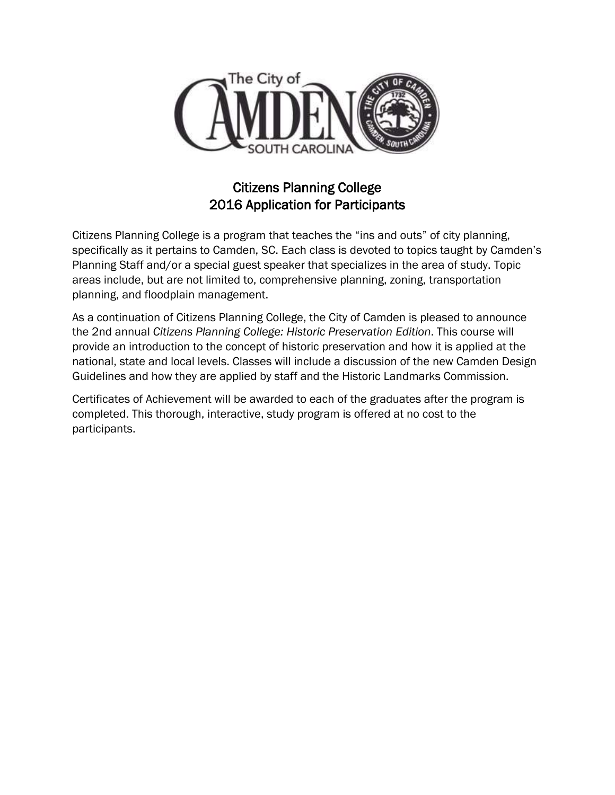

## Citizens Planning College 2016 Application for Participants

Citizens Planning College is a program that teaches the "ins and outs" of city planning, specifically as it pertains to Camden, SC. Each class is devoted to topics taught by Camden's Planning Staff and/or a special guest speaker that specializes in the area of study. Topic areas include, but are not limited to, comprehensive planning, zoning, transportation planning, and floodplain management.

As a continuation of Citizens Planning College, the City of Camden is pleased to announce the 2nd annual *Citizens Planning College: Historic Preservation Edition*. This course will provide an introduction to the concept of historic preservation and how it is applied at the national, state and local levels. Classes will include a discussion of the new Camden Design Guidelines and how they are applied by staff and the Historic Landmarks Commission.

Certificates of Achievement will be awarded to each of the graduates after the program is completed. This thorough, interactive, study program is offered at no cost to the participants.